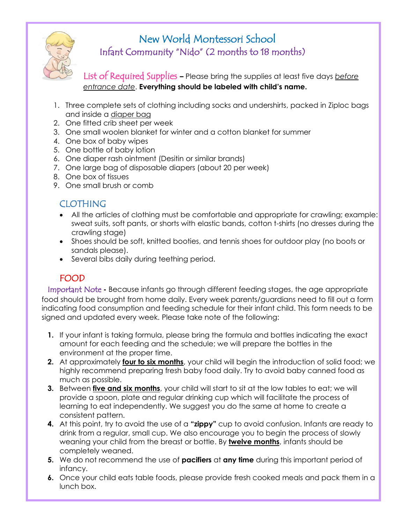

# New World Montessori School Infant Community "Nido" (2 months to 18 months)

List of Required Supplies **–** Please bring the supplies at least five days *before entrance date*. **Everything should be labeled with child's name.**

- 1. Three complete sets of clothing including socks and undershirts, packed in Ziploc bags and inside a diaper bag
- 2. One fitted crib sheet per week
- 3. One small woolen blanket for winter and a cotton blanket for summer
- 4. One box of baby wipes
- 5. One bottle of baby lotion
- 6. One diaper rash ointment (Desitin or similar brands)
- 7. One large bag of disposable diapers (about 20 per week)
- 8. One box of tissues
- 9. One small brush or comb

## CLOTHING

- All the articles of clothing must be comfortable and appropriate for crawling; example: sweat suits, soft pants, or shorts with elastic bands, cotton t-shirts (no dresses during the crawling stage)
- Shoes should be soft, knitted booties, and tennis shoes for outdoor play (no boots or sandals please).
- Several bibs daily during teething period.

# FOOD

Important Note **-** Because infants go through different feeding stages, the age appropriate food should be brought from home daily. Every week parents/guardians need to fill out a form indicating food consumption and feeding schedule for their infant child. This form needs to be signed and updated every week. Please take note of the following:

- **1.** If your infant is taking formula, please bring the formula and bottles indicating the exact amount for each feeding and the schedule; we will prepare the bottles in the environment at the proper time.
- **2.** At approximately **four to six months**, your child will begin the introduction of solid food; we highly recommend preparing fresh baby food daily. Try to avoid baby canned food as much as possible.
- **3.** Between **five and six months**, your child will start to sit at the low tables to eat; we will provide a spoon, plate and regular drinking cup which will facilitate the process of learning to eat independently. We suggest you do the same at home to create a consistent pattern.
- **4.** At this point, try to avoid the use of a **"zippy"** cup to avoid confusion. Infants are ready to drink from a regular, small cup. We also encourage you to begin the process of slowly weaning your child from the breast or bottle. By **twelve months**, infants should be completely weaned.
- **5.** We do not recommend the use of **pacifiers** at **any time** during this important period of infancy.
- **6.** Once your child eats table foods, please provide fresh cooked meals and pack them in a lunch box.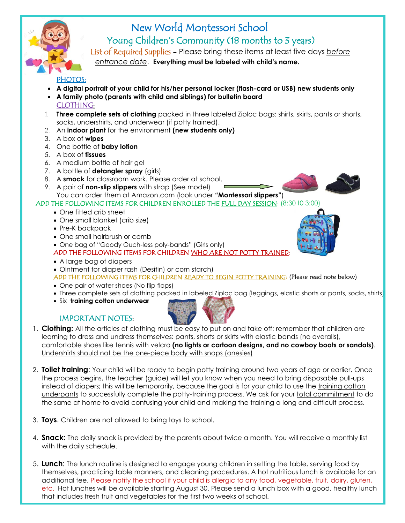

# New World Montessori School Young Children's Community (18 months to 3 years)

 List of Required Supplies - Please bring these items at least five days *before entrance date*. **Everything must be labeled with child's name.**

#### PHOTOS:

- **A digital portrait of your child for his/her personal locker (flash-card or USB) new students only**
- **A family photo (parents with child and siblings) for bulletin board** CLOTHING:
- 1. **Three complete sets of clothing** packed in three labeled Ziploc bags: shirts, skirts, pants or shorts, socks, undershirts, and underwear (if potty trained).
- 2. An **indoor plant** for the environment **(new students only)**
- 3. A box of **wipes**
- 4. One bottle of **baby lotion**
- 5. A box of **tissues**
- 6. A medium bottle of hair gel
- 7. A bottle of **detangler spray** (girls)
- 8. A **smock** for classroom work. Please order at school.
- 9. A pair of **non-slip slippers** with strap (See model) You can order them at Amazon.com (look under **"Montessori slippers"**)



## ADD THE FOLLOWING ITEMS FOR CHILDREN ENROLLED THE FULL DAY SESSION: (8:30 t0 3:00)

- One fitted crib sheet
- One small blanket (crib size)
- Pre-K backpack
- One small hairbrush or comb
- One bag of "Goody Ouch-less poly-bands" (Girls only)
- ADD THE FOLLOWING ITEMS FOR CHILDREN WHO ARE NOT POTTY TRAINED
- A large bag of diapers
- Ointment for diaper rash (Desitin) or corn starch)

ADD THE FOLLOWING ITEMS FOR CHILDREN READY TO BEGIN POTTY TRAINING: (Please read note below)

- One pair of water shoes (No flip flops)
- Three complete sets of clothing packed in labeled Ziploc bag (leggings, elastic shorts or pants, socks, shirts)
- Six **training cotton underwear**



#### IMPORTANT NOTES:

- 1. **Clothing:** All the articles of clothing must be easy to put on and take off; remember that children are learning to dress and undress themselves: pants, shorts or skirts with elastic bands (no overalls), comfortable shoes like tennis with velcro **(no lights or cartoon designs, and no cowboy boots or sandals)**. Undershirts should not be the one-piece body with snaps (onesies)
- 2. **Toilet training**: Your child will be ready to begin potty training around two years of age or earlier. Once the process begins, the teacher (guide) will let you know when you need to bring disposable pull-ups instead of diapers; this will be temporarily, because the goal is for your child to use the training cotton underpants to successfully complete the potty-training process. We ask for your total commitment to do the same at home to avoid confusing your child and making the training a long and difficult process.
- 3. **Toys**. Children are not allowed to bring toys to school.
- 4. **Snack**: The daily snack is provided by the parents about twice a month. You will receive a monthly list with the daily schedule.
- 5. **Lunch**: The lunch routine is designed to engage young children in setting the table, serving food by themselves, practicing table manners, and cleaning procedures. A hot nutritious lunch is available for an additional fee. Please notify the school if your child is allergic to any food, vegetable, fruit, dairy, gluten, etc. Hot lunches will be available starting August 30. Please send a lunch box with a good, healthy lunch that includes fresh fruit and vegetables for the first two weeks of school.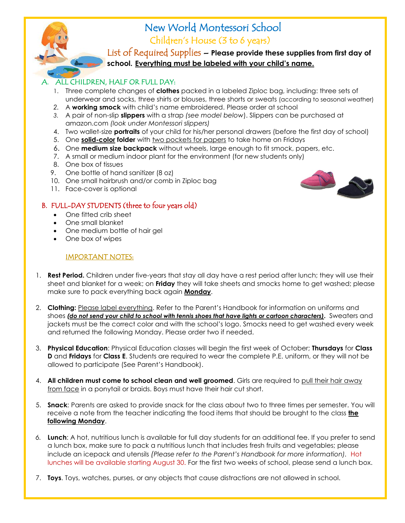

List of Required Supplies – **Please provide these supplies from first day of school. Everything must be labeled with your child's name.**

#### A. ALL CHILDREN, HALF OR FULL DAY:

- 1. Three complete changes of **clothes** packed in a labeled Ziploc bag, including: three sets of underwear and socks, three shirts or blouses, three shorts or sweats (according to seasonal weather)
- *2.* A **working smock** with child's name embroidered. Please order at school
- *3.* A pair of non-slip **slippers** with a strap *(see model below*). Slippers can be purchased at amazon.com *(look under Montessori slippers)*
- 4. Two wallet-size **portraits** of your child for his/her personal drawers (before the first day of school)
- 5. One **solid-color folder** with two pockets for papers to take home on Fridays
- 6. One **medium size backpack** without wheels, large enough to fit smock, papers, etc.
- 7. A small or medium indoor plant for the environment (for new students only)
- 8. One box of tissues
- 9. One bottle of hand sanitizer (8 oz)
- 10. One small hairbrush and/or comb in Ziploc bag
- 11. Face-cover is optional

#### B. FULL-DAY STUDENTS (three to four years old)

- One fitted crib sheet
- One small blanket
- One medium bottle of hair gel
- One box of wipes

#### IMPORTANT NOTES:

- 1. **Rest Period.** Children under five-years that stay all day have a rest period after lunch; they will use their sheet and blanket for a week; on **Friday** they will take sheets and smocks home to get washed; please make sure to pack everything back again **Monday**.
	- 2. **Clothing:** Please label everything. Refer to the Parent's Handbook for information on uniforms and shoes *(do not send your child to school with tennis shoes that have lights or cartoon characters)***.** Sweaters and jackets must be the correct color and with the school's logo. Smocks need to get washed every week and returned the following Monday. Please order two if needed.
	- 3. **Physical Education**: Physical Education classes will begin the first week of October; **Thursdays** for **Class D** and **Fridays** for **Class E**. Students are required to wear the complete P.E. uniform, or they will not be allowed to participate (See Parent's Handbook).
	- 4. **All children must come to school clean and well groomed**. Girls are required to pull their hair away from face in a ponytail or braids. Boys must have their hair cut short.
	- 5. **Snack**: Parents are asked to provide snack for the class about two to three times per semester. You will receive a note from the teacher indicating the food items that should be brought to the class **the following Monday**.
	- *6.* **Lunch**: A hot, nutritious lunch is available for full day students for an additional fee. If you prefer to send a lunch box, make sure to pack a nutritious lunch that includes fresh fruits and vegetables; please include an icepack and utensils *(Please refer to the Parent's Handbook for more information).* Hot lunches will be available starting August 30. For the first two weeks of school, please send a lunch box.
	- 7. **Toys**. Toys, watches, purses, or any objects that cause distractions are not allowed in school.

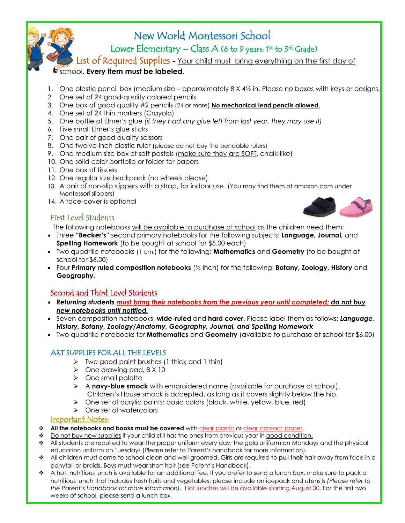

 $\mathbb Z$  Lower Elementary – Class A (6 to 9 years: 1st to 3rd Grade)

List of Required Supplies **-** Your child must bring everything on the first day of

#### school. **Every item must be labeled**.

- 1. One plastic pencil box (medium size approximately 8 X 4½ in. Please no boxes with keys or designs.
- 2. One set of 24 good-quality colored pencils
- 3. One box of good quality #2 pencils (24 or more) **No mechanical lead pencils allowed.**
- 4. One set of 24 thin markers (Crayola)
- 5. One bottle of Elmer's glue *(if they had any glue left from last year, they may use it)*
- 6. Five small Elmer's glue sticks
- 7. One pair of good quality scissors
- 8. One twelve-inch plastic ruler (please do not buy the bendable rulers)
- 9. One medium size box of soft pastels (make sure they are SOFT, chalk-like)
- 10. One solid color portfolio or folder for papers
- 11. One box of tissues
- 12. One regular size backpack (no wheels please)
- 13. A pair of non-slip slippers with a strap, for indoor use. (You may find them at amazon.com under Montessori slippers)
- 14. A face-cover is optional

#### First Level Students

The following notebooks will be available to purchase at school as the children need them:

- Three **"Becker's**" second primary notebooks for the following subjects: **Language, Journal,** and **Spelling Homework** (to be bought at school for \$5.00 each)
- Two quadrille notebooks (1 cm.) for the following: **Mathematics** and **Geometry** (to be bought at school for \$6.00)
- Four **Primary ruled composition notebooks** (½ inch) for the following: **Botany, Zoology, History** and **Geography.**

## Second and Third Level Students

- *Returning students must bring their notebooks from the previous year until completed; do not buy new notebooks until notified.*
- Seven composition notebooks, **wide-ruled** and **hard cover**. Please label them as follows**:** *Language, History, Botany, Zoology/Anatomy, Geography, Journal, and Spelling Homework*
- Two quadrille notebooks for **Mathematics** and **Geometry** (available to purchase at school for \$6.00)

## ART SUPPLIES FOR ALL THE LEVELS

- ➢ Two good paint brushes (1 thick and 1 thin)
- ➢ One drawing pad, 8 X 10
- ➢ One small palette
- ➢ A **navy-blue smock** with embroidered name (available for purchase at school). Children's House smock is accepted, as long as it covers slightly below the hip.
- ➢ One set of acrylic paints: basic colors (black, white, yellow, blue, red)
- ➢ One set of watercolors

#### Important Notes:

- ❖ **All the notebooks and books must be covered** with clear plastic or clear contact paper.
- ❖ Do not buy new supplies if your child still has the ones from previous year in good condition.
- ❖ All students are required to wear the proper uniform every day; the gala uniform on Mondays and the physical education uniform on Tuesdays (Please refer to Parent's handbook for more information).
- ❖ All children must come to school clean and well groomed. Girls are required to pull their hair away from face in a ponytail or braids. Boys must wear short hair (see Parent's Handbook).
- ❖ A hot, nutritious lunch is available for an additional fee. If you prefer to send a lunch box, make sure to pack a nutritious lunch that includes fresh fruits and vegetables; please include an icepack and utensils *(Please refer to the Parent's Handbook for more information).* Hot lunches will be available starting August 30. For the first two weeks of school, please send a lunch box.

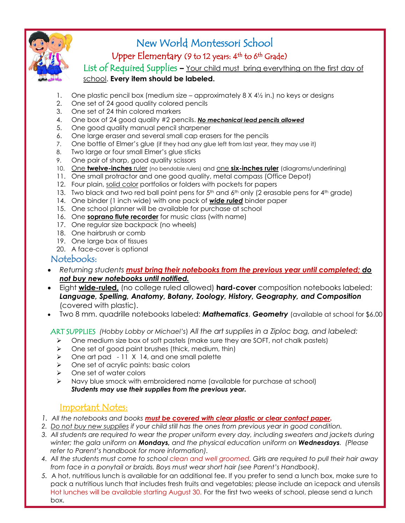

## $\mathsf{Upper} \ \mathsf{Elementary} \ (9 \ \mathsf{to} \ 12 \ \mathsf{years}; \ 4^\mathsf{th} \ \mathsf{to} \ 6^\mathsf{th} \ \mathsf{Grade})$

List of Required Supplies **–** Your child must bring everything on the first day of school. **Every item should be labeled.**

- One plastic pencil box (medium size approximately  $8 \times 4\frac{1}{2}$  in.) no keys or designs
- 2. One set of 24 good quality colored pencils
- 3. One set of 24 thin colored markers
- 4. One box of 24 good quality #2 pencils. *No mechanical lead pencils allowed*
- 5. One good quality manual pencil sharpener
- 6. One large eraser and several small cap erasers for the pencils
- 7. One bottle of Elmer's glue (if they had any glue left from last year, they may use it)
- 8. Two large or four small Elmer's glue sticks
- 9. One pair of sharp, good quality scissors
- 10. One **twelve-inches** ruler (no bendable rulers) and one **six-inches ruler** (diagrams/underlining)
- 11. One small protractor and one good quality, metal compass (Office Depot)
- 12. Four plain, solid color portfolios or folders with pockets for papers
- 13. Two black and two red ball point pens for 5<sup>th</sup> and 6<sup>th</sup> only (2 erasable pens for 4<sup>th</sup> grade)
- 14. One binder (1 inch wide) with one pack of *wide ruled* binder paper
- 15. One school planner will be available for purchase at school
- 16. One **soprano flute recorder** for music class (with name)
- 17. One regular size backpack (no wheels)
- 18. One hairbrush or comb
- 19. One large box of tissues
- 20. A face-cover is optional

#### Notebooks:

- *Returning students must bring their notebooks from the previous year until completed; do not buy new notebooks until notified.*
- Eight **wide-ruled,** (no college ruled allowed) **hard-cover** composition notebooks labeled: *Language, Spelling, Anatomy, Botany, Zoology, History, Geography, and Composition*  (covered with plastic).
- Two 8 mm. quadrille notebooks labeled: *Mathematics*, *Geometry* (available at school for \$6.00

ART SUPPLIES *(Hobby Lobby or Michael's*) *All the art supplies in a Ziploc bag, and labeled:*

- ➢ One medium size box of soft pastels (make sure they are SOFT, not chalk pastels)
- ➢ One set of good paint brushes (thick, medium, thin)
- ➢ One art pad 11 X 14, and one small palette
- ➢ One set of acrylic paints: basic colors
- ➢ One set of water colors
- ➢ Navy blue smock with embroidered name (available for purchase at school) *Students may use their supplies from the previous year.*

## Important Notes:

- *1. All the notebooks and books must be covered with clear plastic or clear contact paper.*
- *2. Do not buy new supplies if your child still has the ones from previous year in good condition.*
- *3. All students are required to wear the proper uniform every day, including sweaters and jackets during winter; the gala uniform on Mondays, and the physical education uniform on Wednesdays. (Please refer to Parent's handbook for more information).*
- *4. All the students must come to school clean and well groomed. Girls are required to pull their hair away from face in a ponytail or braids. Boys must wear short hair (see Parent's Handbook).*
- *5.* A hot, nutritious lunch is available for an additional fee. If you prefer to send a lunch box, make sure to pack a nutritious lunch that includes fresh fruits and vegetables; please include an icepack and utensils Hot lunches will be available starting August 30. For the first two weeks of school, please send a lunch box.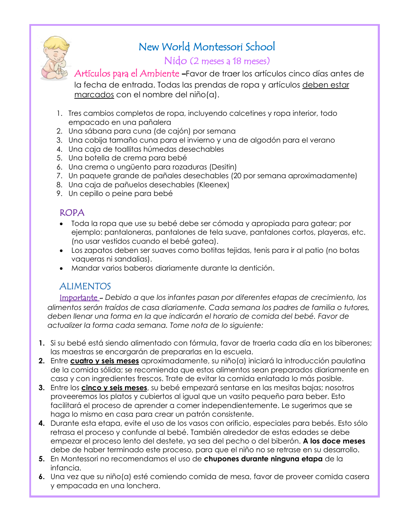

## Nido (2 meses a 18 meses)

Artículos para el Ambiente **–**Favor de traer los artículos cinco días antes de la fecha de entrada. Todas las prendas de ropa y artículos deben estar

marcados con el nombre del niño(a).

- 1. Tres cambios completos de ropa, incluyendo calcetines y ropa interior, todo empacado en una pañalera
- 2. Una sábana para cuna (de cajón) por semana
- 3. Una cobija tamaño cuna para el invierno y una de algodón para el verano
- 4. Una caja de toallitas húmedas desechables
- 5. Una botella de crema para bebé
- 6. Una crema o ungüento para rozaduras (Desitin)
- 7. Un paquete grande de pañales desechables (20 por semana aproximadamente)
- 8. Una caja de pañuelos desechables (Kleenex)
- 9. Un cepillo o peine para bebé

## ROPA

- Toda la ropa que use su bebé debe ser cómoda y apropiada para gatear; por ejemplo: pantaloneras, pantalones de tela suave, pantalones cortos, playeras, etc. (no usar vestidos cuando el bebé gatea).
- Los zapatos deben ser suaves como botitas tejidas, tenis para ir al patio (no botas vaqueras ni sandalias).
- Mandar varios baberos diariamente durante la dentición.

# ALIMENTOS

Importante - *Debido a que los infantes pasan por diferentes etapas de crecimiento, los alimentos serán traídos de casa diariamente. Cada semana los padres de familia o tutores, deben llenar una forma en la que indicarán el horario de comida del bebé. Favor de actualizer la forma cada semana. Tome nota de lo siguiente:*

- **1.** Si su bebé está siendo alimentado con fórmula, favor de traerla cada día en los biberones; las maestras se encargarán de prepararlas en la escuela.
- **2.** Entre **cuatro y seis meses** aproximadamente, su niño(a) iniciará la introducción paulatina de la comida sólida; se recomienda que estos alimentos sean preparados diariamente en casa y con ingredientes frescos. Trate de evitar la comida enlatada lo más posible.
- **3.** Entre los **cinco y seis meses**, su bebé empezará sentarse en las mesitas bajas; nosotros proveeremos los platos y cubiertos al igual que un vasito pequeño para beber. Esto facilitará el proceso de aprender a comer independientemente. Le sugerimos que se haga lo mismo en casa para crear un patrón consistente.
- **4.** Durante esta etapa, evite el uso de los vasos con orificio, especiales para bebés. Esto sólo retrasa el proceso y confunde al bebé. También alrededor de estas edades se debe empezar el proceso lento del destete, ya sea del pecho o del biberón. **A los doce meses** debe de haber terminado este proceso, para que el niño no se retrase en su desarrollo.
- **5.** En Montessori no recomendamos el uso de **chupones durante ninguna etapa** de la infancia.
- **6.** Una vez que su niño(a) esté comiendo comida de mesa, favor de proveer comida casera y empacada en una lonchera.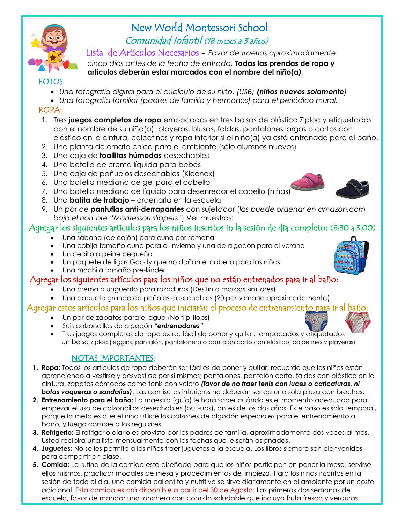

# New World Montessori School Comunidad Infantil (18 meses a 3 años)

Lista de Artículos Necesarios - *Favor de traerlos aproximadamente*

 *cinco días antes de la fecha de entrada.* **Todas las prendas de ropa y**  **artículos deberán estar marcados con el nombre del niño(a***).*

## FOTOS

- *Una fotografía digital para el cubículo de su niño. (USB) (niños nuevos solamente)*
- *Una fotografía familiar (padres de familia y hermanos) para el periódico mural.*

## ROPA:

- 1. Tres **juegos completos de ropa** empacados en tres bolsas de plástico Ziploc y etiquetadas con el nombre de su niño(a): playeras, blusas, faldas, pantalones largos o cortos con elástico en la cintura, calcetines y ropa interior si el niño(a) ya está entrenado para el baño.
- 2. Una planta de ornato chica para el ambiente (sólo alumnos nuevos)
- 3. Una caja de **toallitas húmedas** desechables
- 4. Una botella de crema líquida para bebés
- 5. Una caja de pañuelos desechables (Kleenex)
- 6. Una botella mediana de gel para el cabello
- 7. Una botella mediana de líquido para desenredar el cabello (niñas)
- 8. Una **batita de trabajo** ordenarla en la escuela
- 9. Un par de **pantuflas anti-derrapantes** con sujetador (*las puede ordenar en amazon.com bajo el nombre "Montessori slippers"*) Ver muestras:

## Agregar los siguientes artículos para los niños inscritos in la sesión de día completo: (8:30 a 3:00)

- Una sábana (de cajón) para cuna por semana
- Una cobija tamaño cuna para el invierno y una de algodón para el verano
- Un cepillo o peine pequeño
- Un paquete de ligas Goody que no dañan el cabello para las niñas
- Una mochila tamaño pre-kinder

## Agregar los siguientes artículos para los niños que no están entrenados para ir al baño:

- Una crema o ungüento para rozaduras (Desitin o marcas similares)
- Una paquete grande de pañales desechables (20 por semana aproximadamente)

## Agregar estos artículos para los niños que iniciarán el proceso de entrenamien<u>to para</u> ir al baño:

- Un par de zapatos para el agua (No flip-flops)
- Seis calzoncillos de algodón *"entrenadores"*
- Tres juegos completos de ropa extra, fácil de poner y quitar, empacados y etiquetados en bolsa Ziploc (leggins, pantalón, pantalonera o pantalón corto con elástico, calcetines y playeras)

## NOTAS IMPORTANTES:

- **1. Ropa:** Todos los artículos de ropa deberán ser fáciles de poner y quitar; recuerde que los niños están aprendiendo a vestirse y desvestirse por si mismos; pantalones, pantalón corto, faldas con elástico en la cintura, zapatos cómodos como tenis con velcro *(favor de no traer tenis con luces o caricaturas, ni botas vaqueras o sandalias)*. Las camisetas interiores no deberán ser de una sola pieza con broches.
- **2. Entrenamiento para el baño:** La maestra (guía) le hará saber cuándo es el momento adecuado para empezar el uso de calzoncillos desechables (pull-ups), antes de los dos años. Este paso es solo temporal, porque la meta es que el niño utilice los calzones de algodón especiales para el entrenamiento al baño, y luego cambie a los regulares.
- **3. Refrigerio:** El refrigerio diario es provisto por los padres de familia, aproximadamente dos veces al mes. Usted recibirá una lista mensualmente con las fechas que le serán asignadas.
- **4. Juguetes:** No se les permite a los niños traer juguetes a la escuela. Los libros siempre son bienvenidos para compartir en clase.
- **5. Comida:** La rutina de la comida está diseñada para que los niños participen en poner la mesa, servirse ellos mismos, practicar modales de mesa y procedimientos de limpieza. Para los niños inscritos en la sesión de todo el día, una comida calientita y nutritiva se sirve diariamente en el ambiente por un costo adicional. Esta comida estará disponible a partir del 30 de Agosto. Las primeras dos semanas de escuela, favor de mandar una lonchera con comida saludable que incluya fruta fresca y verduras.



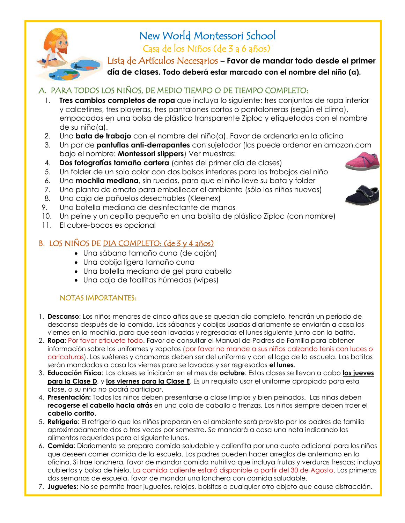

# New World Montessori School Casa de los Niños (de 3 a 6 años)

Lista de Artículos Necesarios **– Favor de mandar todo desde el primer** 

**día de clases. Todo deberá estar marcado con el nombre del niño (a).**

### A. PARA TODOS LOS NIÑOS, DE MEDIO TIEMPO O DE TIEMPO COMPLETO:

- 1. **Tres cambios completos de ropa** que incluya lo siguiente: tres conjuntos de ropa interior y calcetines, tres playeras, tres pantalones cortos o pantaloneras (según el clima), empacados en una bolsa de plástico transparente Ziploc y etiquetados con el nombre de su niño(a).
- *2.* Una **bata de trabajo** con el nombre del niño(a). Favor de ordenarla en la oficina
- 3. Un par de **pantuflas anti-derrapantes** con sujetador (las puede ordenar en amazon.com bajo el nombre: **Montessori slippers**) Ver muestras:
- 4. **Dos fotografías tamaño cartera** (antes del primer día de clases)
- 5. Un folder de un solo color con dos bolsas interiores para los trabajos del niño
- 6. Una **mochila mediana**, sin ruedas, para que el niño lleve su bata y folder
- 7. Una planta de ornato para embellecer el ambiente (sólo los niños nuevos)
- 8. Una caja de pañuelos desechables (Kleenex)
- 9. Una botella mediana de desinfectante de manos
- 10. Un peine y un cepillo pequeño en una bolsita de plástico Ziploc (con nombre)
- 11. El cubre-bocas es opcional

## B. LOS NIÑOS DE DIA COMPLETO: (de 3 y 4 años)

- Una sábana tamaño cuna (de cajón)
- Una cobija ligera tamaño cuna
- Una botella mediana de gel para cabello
- Una caja de toallitas húmedas (wipes)

#### NOTAS IMPORTANTES:

- 1. **Descanso**: Los niños menores de cinco años que se quedan día completo, tendrán un período de descanso después de la comida. Las sábanas y cobijas usadas diariamente se enviarán a casa los viernes en la mochila, para que sean lavadas y regresadas el lunes siguiente junto con la batita.
- 2. **Ropa:** Por favor etiquete todo. Favor de consultar el Manual de Padres de Familia para obtener información sobre los uniformes y zapatos (por favor no mande a sus niños calzando tenis con luces o caricaturas). Los suéteres y chamarras deben ser del uniforme y con el logo de la escuela. Las batitas serán mandadas a casa los viernes para se lavadas y ser regresadas **el lunes**.
- 3. **Educación Física**: Las clases se iniciarán en el mes de **octubre**. Estas clases se llevan a cabo **los jueves para la Clase D**, y **los viernes para la Clase E**. Es un requisito usar el uniforme apropiado para esta clase, o su niño no podrá participar.
- 4. **Presentación:** Todos los niños deben presentarse a clase limpios y bien peinados. Las niñas deben **recogerse el cabello hacia atrás** en una cola de caballo o trenzas. Los niños siempre deben traer el **cabello cortito**.
- 5. **Refrigerio**: El refrigerio que los niños preparan en el ambiente será provisto por los padres de familia aproximadamente dos o tres veces por semestre. Se mandará a casa una nota indicando los alimentos requeridos para el siguiente lunes.
- 6. **Comida**: Diariamente se prepara comida saludable y calientita por una cuota adicional para los niños que deseen comer comida de la escuela. Los padres pueden hacer arreglos de antemano en la oficina. Si trae lonchera, favor de mandar comida nutritiva que incluya frutas y verduras frescas; incluya cubiertos y bolsa de hielo. La comida caliente estará disponible a partir del 30 de Agosto. Las primeras dos semanas de escuela, favor de mandar una lonchera con comida saludable.
- 7. **Juguetes:** No se permite traer juguetes, relojes, bolsitas o cualquier otro objeto que cause distracción.



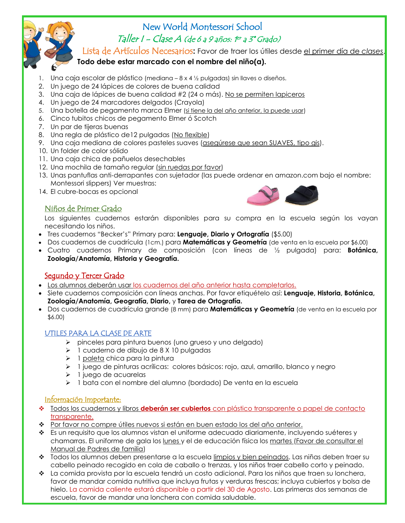

# New World Montessori School Taller I - Clase A (de 6 a 9 años: 1er a 3º Grado)

Lista de Artículos Necesarios**:** Favor de traer los útiles desde el primer día de *clases*.

## **Todo debe estar marcado con el nombre del niño(a).**

- 1. Una caja escolar de plástico (mediana 8 x 4 ½ pulgadas) sin llaves o diseños.
- 2. Un juego de 24 lápices de colores de buena calidad
- 3. Una caja de lápices de buena calidad #2 (24 o más). No se permiten lapiceros
- 4. Un juego de 24 marcadores delgados (Crayola)
- 5. Una botella de pegamento marca Elmer (si tiene la del año anterior, la puede usar)
- 6. Cinco tubitos chicos de pegamento Elmer ó Scotch
- 7. Un par de tijeras buenas
- 8. Una regla de plástico de12 pulgadas (No flexible)
- 9. Una caja mediana de colores pasteles suaves (asegúrese que sean SUAVES, tipo gis).
- 10. Un folder de color sólido
- 11. Una caja chica de pañuelos desechables
- 12. Una mochila de tamaño regular (sin ruedas por favor)
- 13. Unas pantuflas anti-derrapantes con sujetador (las puede ordenar en amazon.com bajo el nombre: Montessori slippers) Ver muestras:
- 14. El cubre-bocas es opcional



#### Niños de Primer Grado

Los siguientes cuadernos estarán disponibles para su compra en la escuela según los vayan necesitando los niños.

- Tres cuadernos "Becker's" Primary para: **Lenguaje, Diario y Ortografía** (\$5.00)
- Dos cuadernos de cuadrícula (1cm.) para **Matemáticas y Geometría** (de venta en la escuela por \$6.00)
- Cuatro cuadernos Primary de composición (con líneas de ½ pulgada) para: **Botánica, Zoología/Anatomía, Historia y Geografía.**

#### <u>Sequndo y Tercer Grado</u>

- Los alumnos deberán usar los cuadernos del año anterior hasta completarlos.
- Siete cuadernos composición con líneas anchas. Por favor etiquételo así: **Lenguaje, Historia, Botánica, Zoología/Anatomía, Geografía, Diario,** y **Tarea de Ortografía.**
- Dos cuadernos de cuadrícula grande (8 mm) para **Matemáticas y Geometría** (de venta en la escuela por \$6.00)

#### UTILES PARA LA CLASE DE ARTE

- ➢ pinceles para pintura buenos (uno grueso y uno delgado)
- ➢ 1 cuaderno de dibujo de 8 X 10 pulgadas
- ➢ 1 paleta chica para la pintura
- ➢ 1 juego de pinturas acrílicas: colores básicos: rojo, azul, amarillo, blanco y negro
- ➢ 1 juego de acuarelas
- ➢ 1 bata con el nombre del alumno (bordado) De venta en la escuela

#### Información Importante:

- ❖ Todos los cuadernos y libros **deberán ser cubiertos** con plástico transparente o papel de contacto transparente.
- ❖ Por favor no compre útiles nuevos si están en buen estado los del año anterior.
- ❖ Es un requisito que los alumnos vistan el uniforme adecuado diariamente, incluyendo suéteres y chamarras. El uniforme de gala los lunes y el de educación física los martes (Favor de consultar el Manual de Padres de familia)
- ❖ Todos los alumnos deben presentarse a la escuela limpios y bien peinados. Las niñas deben traer su cabello peinado recogido en cola de caballo o trenzas, y los niños traer cabello corto y peinado.
- ❖ La comida provista por la escuela tendrá un costo adicional. Para los niños que traen su lonchera, favor de mandar comida nutritiva que incluya frutas y verduras frescas; incluya cubiertos y bolsa de hielo. La comida caliente estará disponible a partir del 30 de Agosto. Las primeras dos semanas de escuela, favor de mandar una lonchera con comida saludable.